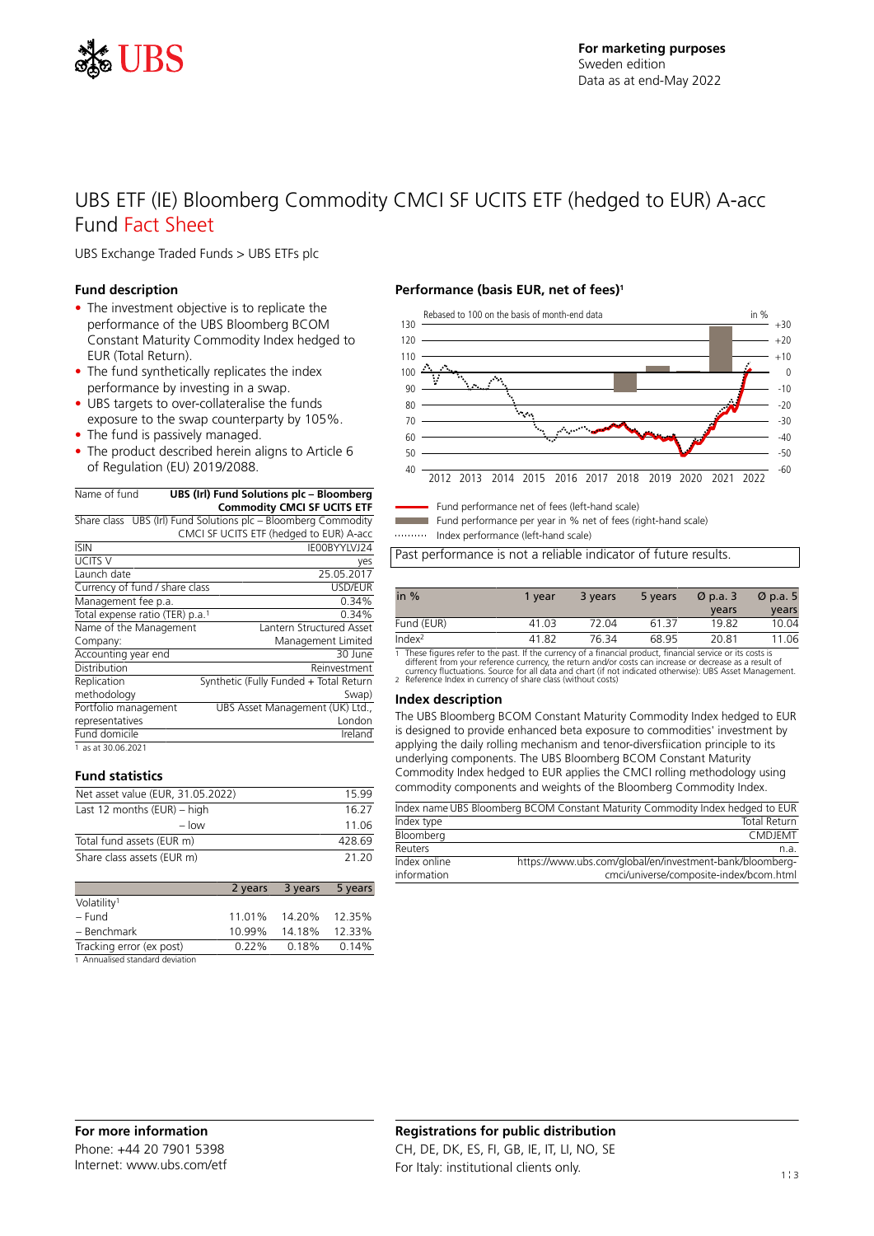

# UBS ETF (IE) Bloomberg Commodity CMCI SF UCITS ETF (hedged to EUR) A-acc Fund Fact Sheet

UBS Exchange Traded Funds > UBS ETFs plc

# **Fund description**

- The investment objective is to replicate the performance of the UBS Bloomberg BCOM Constant Maturity Commodity Index hedged to EUR (Total Return).
- The fund synthetically replicates the index performance by investing in a swap.
- UBS targets to over-collateralise the funds exposure to the swap counterparty by 105%.
- The fund is passively managed.
- The product described herein aligns to Article 6 of Regulation (EU) 2019/2088.

| Name of fund | UBS (Irl) Fund Solutions plc - Bloomberg<br><b>Commodity CMCI SF UCITS ETF</b>                         |
|--------------|--------------------------------------------------------------------------------------------------------|
|              | Share class UBS (Irl) Fund Solutions plc - Bloomberg Commodity<br>$C$ MCI CETLICITE TETU. L. L. TUD) A |

|                                 | CMCL3F UCITS ETF (nedged to EUR) A-acc |
|---------------------------------|----------------------------------------|
| <b>ISIN</b>                     | IE00BYYLVJ24                           |
| <b>UCITS V</b>                  | yes                                    |
| Launch date                     | 25.05.2017                             |
| Currency of fund / share class  | USD/EUR                                |
| Management fee p.a.             | 0.34%                                  |
| Total expense ratio (TER) p.a.1 | 0.34%                                  |
| Name of the Management          | Lantern Structured Asset               |
| Company:                        | Management Limited                     |
| Accounting year end             | 30 June                                |
| Distribution                    | Reinvestment                           |
| Replication                     | Synthetic (Fully Funded + Total Return |
| methodology                     | Swap)                                  |
| Portfolio management            | UBS Asset Management (UK) Ltd.,        |
| representatives                 | London                                 |
| Fund domicile                   | Ireland                                |
| 1 as at 30.06.2021              |                                        |

## **Fund statistics**

| Net asset value (EUR, 31.05.2022) | 1599   |
|-----------------------------------|--------|
| Last 12 months $(EUR)$ – high     | 16.27  |
| $-$ low                           | 11.06  |
| Total fund assets (EUR m)         | 428.69 |
| Share class assets (EUR m)        | 21.20  |

|                                  |          | 2 years 3 years | 5 years |
|----------------------------------|----------|-----------------|---------|
| Volatility <sup>1</sup>          |          |                 |         |
| – Fund                           |          | 11.01% 14.20%   | 12.35%  |
| - Benchmark                      | 10.99%   | 14.18%          | 12.33%  |
| Tracking error (ex post)         | $0.22\%$ | 0.18%           | 0.14%   |
| 1. Annualised standard deviation |          |                 |         |

sed standard devia

### **Performance (basis EUR, net of fees)<sup>1</sup>**



Fund performance net of fees (left-hand scale) Fund performance per year in % net of fees (right-hand scale)

Index performance (left-hand scale)

Past performance is not a reliable indicator of future results.

| in $%$             | 1 vear | 3 years | 5 years | $\varnothing$ p.a. 3<br>years | $\varnothing$ p.a. 5<br>years |
|--------------------|--------|---------|---------|-------------------------------|-------------------------------|
| Fund (EUR)         | 41.03  | 72.04   | 6137    | 19.82                         | 10.04                         |
| Index <sup>2</sup> | 41.82  | 76 34   | 68.95   | 20.81                         | 11.06                         |

1 These figures refer to the past. If the currency of a financial product, financial service or its costs is<br>different from your reference currency, the return and/or costs can increase or decrease as a result of<br>currency

#### **Index description**

The UBS Bloomberg BCOM Constant Maturity Commodity Index hedged to EUR is designed to provide enhanced beta exposure to commodities' investment by applying the daily rolling mechanism and tenor-diversfiication principle to its underlying components. The UBS Bloomberg BCOM Constant Maturity Commodity Index hedged to EUR applies the CMCI rolling methodology using commodity components and weights of the Bloomberg Commodity Index.

|              | Index name UBS Bloomberg BCOM Constant Maturity Commodity Index hedged to EUR |
|--------------|-------------------------------------------------------------------------------|
| Index type   | <b>Total Return</b>                                                           |
| Bloomberg    | <b>CMDJFMT</b>                                                                |
| Reuters      | n.a.                                                                          |
| Index online | https://www.ubs.com/global/en/investment-bank/bloomberg-                      |
| information  | cmci/universe/composite-index/bcom.html                                       |

# **Registrations for public distribution** CH, DE, DK, ES, FI, GB, IE, IT, LI, NO, SE For Italy: institutional clients only. The state of the state of 1:3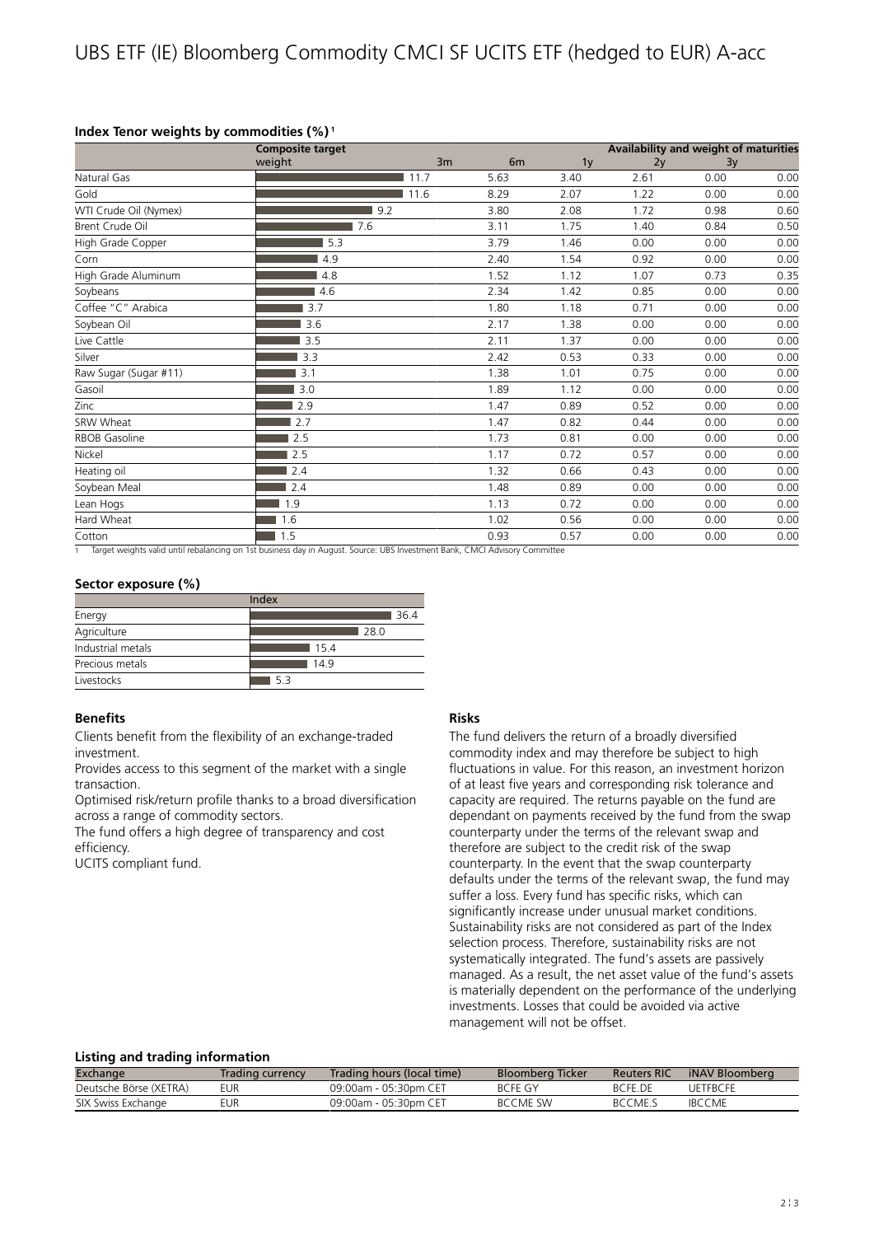# **Index Tenor weights by commodities (%)<sup>1</sup>**

|                       | <b>Composite target</b> |      |                | Availability and weight of maturities |      |      |      |  |
|-----------------------|-------------------------|------|----------------|---------------------------------------|------|------|------|--|
|                       | weight                  | 3m   | 6 <sub>m</sub> | 1 <sub>y</sub>                        | 2y   | 3y   |      |  |
| Natural Gas           |                         | 11.7 | 5.63           | 3.40                                  | 2.61 | 0.00 | 0.00 |  |
| Gold                  |                         | 11.6 | 8.29           | 2.07                                  | 1.22 | 0.00 | 0.00 |  |
| WTI Crude Oil (Nymex) | 9.2                     |      | 3.80           | 2.08                                  | 1.72 | 0.98 | 0.60 |  |
| Brent Crude Oil       | 7.6                     |      | 3.11           | 1.75                                  | 1.40 | 0.84 | 0.50 |  |
| High Grade Copper     | 5.3                     |      | 3.79           | 1.46                                  | 0.00 | 0.00 | 0.00 |  |
| Corn                  | 4.9                     |      | 2.40           | 1.54                                  | 0.92 | 0.00 | 0.00 |  |
| High Grade Aluminum   | 4.8                     |      | 1.52           | 1.12                                  | 1.07 | 0.73 | 0.35 |  |
| Soybeans              | 4.6                     |      | 2.34           | 1.42                                  | 0.85 | 0.00 | 0.00 |  |
| Coffee "C" Arabica    | 3.7                     |      | 1.80           | 1.18                                  | 0.71 | 0.00 | 0.00 |  |
| Soybean Oil           | 3.6                     |      | 2.17           | 1.38                                  | 0.00 | 0.00 | 0.00 |  |
| Live Cattle           | 3.5                     |      | 2.11           | 1.37                                  | 0.00 | 0.00 | 0.00 |  |
| Silver                | 3.3                     |      | 2.42           | 0.53                                  | 0.33 | 0.00 | 0.00 |  |
| Raw Sugar (Sugar #11) | 3.1                     |      | 1.38           | 1.01                                  | 0.75 | 0.00 | 0.00 |  |
| Gasoil                | 3.0                     |      | 1.89           | 1.12                                  | 0.00 | 0.00 | 0.00 |  |
| Zinc                  | 2.9                     |      | 1.47           | 0.89                                  | 0.52 | 0.00 | 0.00 |  |
| SRW Wheat             | 2.7                     |      | 1.47           | 0.82                                  | 0.44 | 0.00 | 0.00 |  |
| RBOB Gasoline         | 2.5                     |      | 1.73           | 0.81                                  | 0.00 | 0.00 | 0.00 |  |
| Nickel                | 2.5                     |      | 1.17           | 0.72                                  | 0.57 | 0.00 | 0.00 |  |
| Heating oil           | 2.4                     |      | 1.32           | 0.66                                  | 0.43 | 0.00 | 0.00 |  |
| Soybean Meal          | 2.4                     |      | 1.48           | 0.89                                  | 0.00 | 0.00 | 0.00 |  |
| Lean Hogs             | 1.9                     |      | 1.13           | 0.72                                  | 0.00 | 0.00 | 0.00 |  |
| Hard Wheat            | 1.6                     |      | 1.02           | 0.56                                  | 0.00 | 0.00 | 0.00 |  |
| Cotton                | 1.5                     |      | 0.93           | 0.57                                  | 0.00 | 0.00 | 0.00 |  |

1 Target weights valid until rebalancing on 1st business day in August. Source: UBS Investment Bank, CMCI Advisory Committee

# **Sector exposure (%)**

| Index             |      |  |  |  |  |
|-------------------|------|--|--|--|--|
| Energy            | 36.4 |  |  |  |  |
| Agriculture       | 28 Q |  |  |  |  |
| Industrial metals | 154  |  |  |  |  |
| Precious metals   | 149  |  |  |  |  |
| Livestocks        | 53   |  |  |  |  |

# **Benefits**

Clients benefit from the flexibility of an exchange-traded investment.

Provides access to this segment of the market with a single transaction.

Optimised risk/return profile thanks to a broad diversification across a range of commodity sectors.

The fund offers a high degree of transparency and cost efficiency.

UCITS compliant fund.

# **Risks**

The fund delivers the return of a broadly diversified commodity index and may therefore be subject to high fluctuations in value. For this reason, an investment horizon of at least five years and corresponding risk tolerance and capacity are required. The returns payable on the fund are dependant on payments received by the fund from the swap counterparty under the terms of the relevant swap and therefore are subject to the credit risk of the swap counterparty. In the event that the swap counterparty defaults under the terms of the relevant swap, the fund may suffer a loss. Every fund has specific risks, which can significantly increase under unusual market conditions. Sustainability risks are not considered as part of the Index selection process. Therefore, sustainability risks are not systematically integrated. The fund's assets are passively managed. As a result, the net asset value of the fund's assets is materially dependent on the performance of the underlying investments. Losses that could be avoided via active management will not be offset.

# **Listing and trading information**

| Exchange               | Trading currency | Trading hours (local time) | <b>Bloomberg Ticker</b> | <b>Reuters RIC</b> | iNAV Bloomberg |
|------------------------|------------------|----------------------------|-------------------------|--------------------|----------------|
| Deutsche Börse (XETRA) | eur              | 09:00am - 05:30pm CET      | BCFF GY                 | <b>BCFF DF</b>     | UFTFRCFF       |
| SIX Swiss Exchange     | EUR              | 09:00am - 05:30pm CFT      | <b>BCCMF SW</b>         | BCCME.S            | <b>IBCCME</b>  |